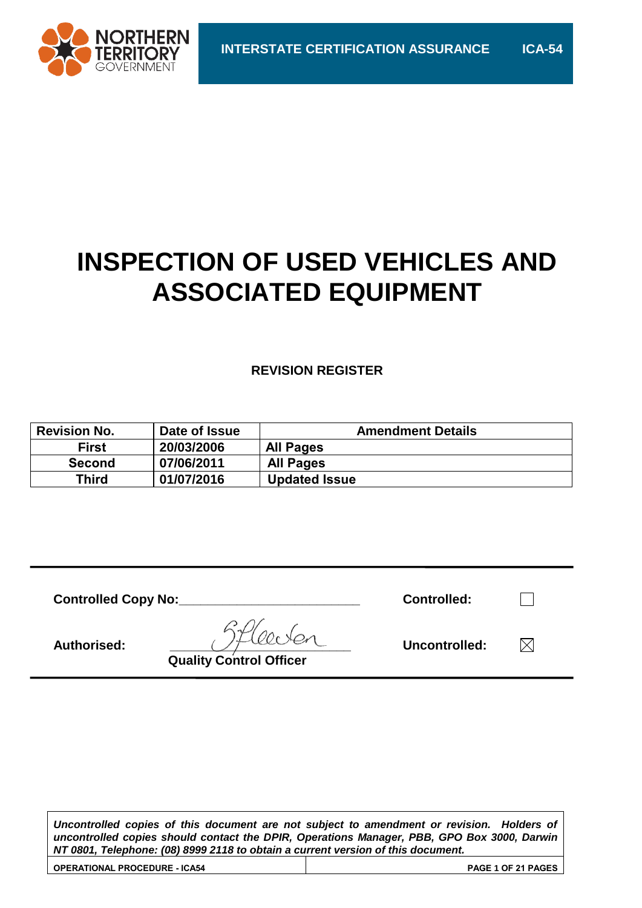

# **INSPECTION OF USED VEHICLES AND ASSOCIATED EQUIPMENT**

#### **REVISION REGISTER**

| <b>Revision No.</b> | Date of Issue | <b>Amendment Details</b> |
|---------------------|---------------|--------------------------|
| <b>First</b>        | 20/03/2006    | <b>All Pages</b>         |
| <b>Second</b>       | 07/06/2011    | <b>All Pages</b>         |
| Third               | 01/07/2016    | <b>Updated Issue</b>     |

| <b>Controlled Copy No:</b> | <b>Controlled:</b> |  |
|----------------------------|--------------------|--|
| <b>Authorised:</b>         | Uncontrolled:      |  |

**Quality Control Officer**

*Uncontrolled copies of this document are not subject to amendment or revision. Holders of uncontrolled copies should contact the DPIR, Operations Manager, PBB, GPO Box 3000, Darwin NT 0801, Telephone: (08) 8999 2118 to obtain a current version of this document.*

| <b>OPERATIONAL PROCEDURE - ICA54</b> | <b>PAGE 1 OF 21 PAGES</b> |
|--------------------------------------|---------------------------|
|                                      |                           |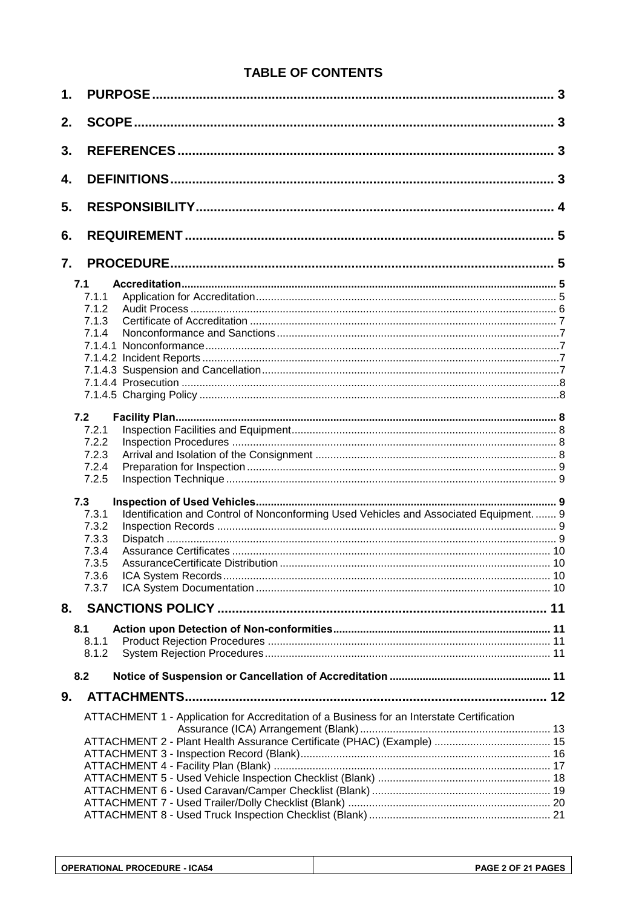### **TABLE OF CONTENTS**

| 1. |                                                                                                 |  |
|----|-------------------------------------------------------------------------------------------------|--|
| 2. |                                                                                                 |  |
| 3. |                                                                                                 |  |
| 4. |                                                                                                 |  |
| 5. |                                                                                                 |  |
| 6. |                                                                                                 |  |
| 7. |                                                                                                 |  |
|    | 7.1                                                                                             |  |
|    | 7.1.1                                                                                           |  |
|    | 7.1.2                                                                                           |  |
|    | 7.1.3                                                                                           |  |
|    | 7.1.4                                                                                           |  |
|    |                                                                                                 |  |
|    |                                                                                                 |  |
|    |                                                                                                 |  |
|    |                                                                                                 |  |
|    |                                                                                                 |  |
|    | 7.2                                                                                             |  |
|    | 7.2.1                                                                                           |  |
|    | 7.2.2                                                                                           |  |
|    |                                                                                                 |  |
|    | 7.2.3                                                                                           |  |
|    | 7.2.4                                                                                           |  |
|    | 7.2.5                                                                                           |  |
|    | 7.3                                                                                             |  |
|    | Identification and Control of Nonconforming Used Vehicles and Associated Equipment.  9<br>7.3.1 |  |
|    | 7.3.2                                                                                           |  |
|    | 7.3.3                                                                                           |  |
|    | 7.3.4                                                                                           |  |
|    | 7.3.5                                                                                           |  |
|    | 7.3.6                                                                                           |  |
|    | 7.3.7                                                                                           |  |
| 8. |                                                                                                 |  |
|    |                                                                                                 |  |
|    | 8.1                                                                                             |  |
|    | 8.1.1                                                                                           |  |
|    | 8.1.2                                                                                           |  |
|    | 8.2                                                                                             |  |
| 9. |                                                                                                 |  |
|    | ATTACHMENT 1 - Application for Accreditation of a Business for an Interstate Certification      |  |
|    |                                                                                                 |  |
|    |                                                                                                 |  |
|    |                                                                                                 |  |
|    |                                                                                                 |  |
|    |                                                                                                 |  |
|    |                                                                                                 |  |
|    |                                                                                                 |  |
|    |                                                                                                 |  |
|    |                                                                                                 |  |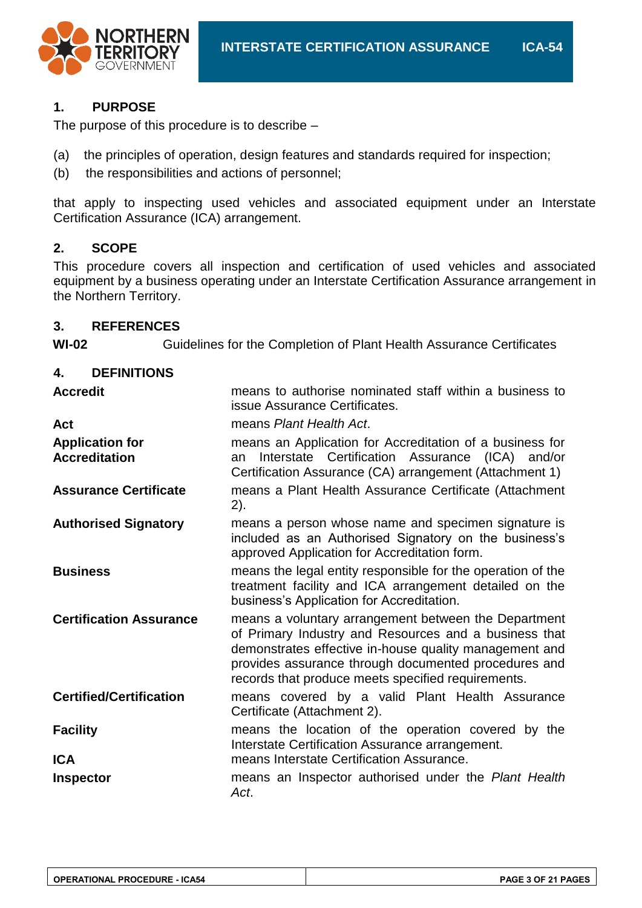

#### **1. PURPOSE**

The purpose of this procedure is to describe –

- (a) the principles of operation, design features and standards required for inspection;
- (b) the responsibilities and actions of personnel;

that apply to inspecting used vehicles and associated equipment under an Interstate Certification Assurance (ICA) arrangement.

#### **2. SCOPE**

This procedure covers all inspection and certification of used vehicles and associated equipment by a business operating under an Interstate Certification Assurance arrangement in the Northern Territory.

#### **3. REFERENCES**

**WI-02** Guidelines for the Completion of Plant Health Assurance Certificates

#### **4. DEFINITIONS**

| <b>Accredit</b>                                | means to authorise nominated staff within a business to<br>issue Assurance Certificates.                                                                                                                                                                                              |
|------------------------------------------------|---------------------------------------------------------------------------------------------------------------------------------------------------------------------------------------------------------------------------------------------------------------------------------------|
| Act                                            | means Plant Health Act.                                                                                                                                                                                                                                                               |
| <b>Application for</b><br><b>Accreditation</b> | means an Application for Accreditation of a business for<br>Interstate Certification Assurance (ICA) and/or<br>an<br>Certification Assurance (CA) arrangement (Attachment 1)                                                                                                          |
| <b>Assurance Certificate</b>                   | means a Plant Health Assurance Certificate (Attachment<br>2).                                                                                                                                                                                                                         |
| <b>Authorised Signatory</b>                    | means a person whose name and specimen signature is<br>included as an Authorised Signatory on the business's<br>approved Application for Accreditation form.                                                                                                                          |
| <b>Business</b>                                | means the legal entity responsible for the operation of the<br>treatment facility and ICA arrangement detailed on the<br>business's Application for Accreditation.                                                                                                                    |
| <b>Certification Assurance</b>                 | means a voluntary arrangement between the Department<br>of Primary Industry and Resources and a business that<br>demonstrates effective in-house quality management and<br>provides assurance through documented procedures and<br>records that produce meets specified requirements. |
| <b>Certified/Certification</b>                 | means covered by a valid Plant Health Assurance<br>Certificate (Attachment 2).                                                                                                                                                                                                        |
| <b>Facility</b>                                | means the location of the operation covered by the<br>Interstate Certification Assurance arrangement.                                                                                                                                                                                 |
| <b>ICA</b>                                     | means Interstate Certification Assurance.                                                                                                                                                                                                                                             |
| <b>Inspector</b>                               | means an Inspector authorised under the Plant Health<br>Act.                                                                                                                                                                                                                          |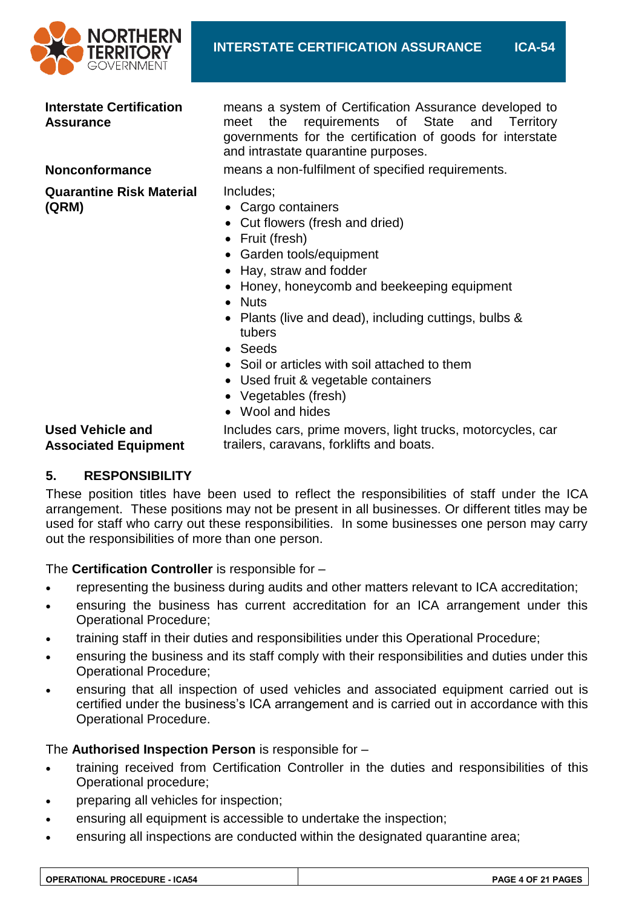

#### **Interstate Certification Assurance**

**Quarantine Risk Material (QRM)**

means a system of Certification Assurance developed to meet the requirements of State and Territory governments for the certification of goods for interstate and intrastate quarantine purposes.

**Nonconformance** means a non-fulfilment of specified requirements.

Includes;

- Cargo containers
- Cut flowers (fresh and dried)
- Fruit (fresh)
- Garden tools/equipment
- Hay, straw and fodder
- Honey, honeycomb and beekeeping equipment
- Nuts
- Plants (live and dead), including cuttings, bulbs & tubers
- Seeds
- Soil or articles with soil attached to them
- Used fruit & vegetable containers
- Vegetables (fresh)
- Wool and hides

#### **Used Vehicle and Associated Equipment**

Includes cars, prime movers, light trucks, motorcycles, car trailers, caravans, forklifts and boats.

#### **5. RESPONSIBILITY**

These position titles have been used to reflect the responsibilities of staff under the ICA arrangement. These positions may not be present in all businesses. Or different titles may be used for staff who carry out these responsibilities. In some businesses one person may carry out the responsibilities of more than one person.

The **Certification Controller** is responsible for –

- representing the business during audits and other matters relevant to ICA accreditation;
- ensuring the business has current accreditation for an ICA arrangement under this Operational Procedure;
- training staff in their duties and responsibilities under this Operational Procedure;
- ensuring the business and its staff comply with their responsibilities and duties under this Operational Procedure;
- ensuring that all inspection of used vehicles and associated equipment carried out is certified under the business's ICA arrangement and is carried out in accordance with this Operational Procedure.

#### The **Authorised Inspection Person** is responsible for –

- training received from Certification Controller in the duties and responsibilities of this Operational procedure;
- preparing all vehicles for inspection;
- ensuring all equipment is accessible to undertake the inspection;
- ensuring all inspections are conducted within the designated quarantine area;

| <b>OPERATIONAL PROCEDURE - ICA54</b> | <b>PAGE 4 OF 21 PAGES</b> |
|--------------------------------------|---------------------------|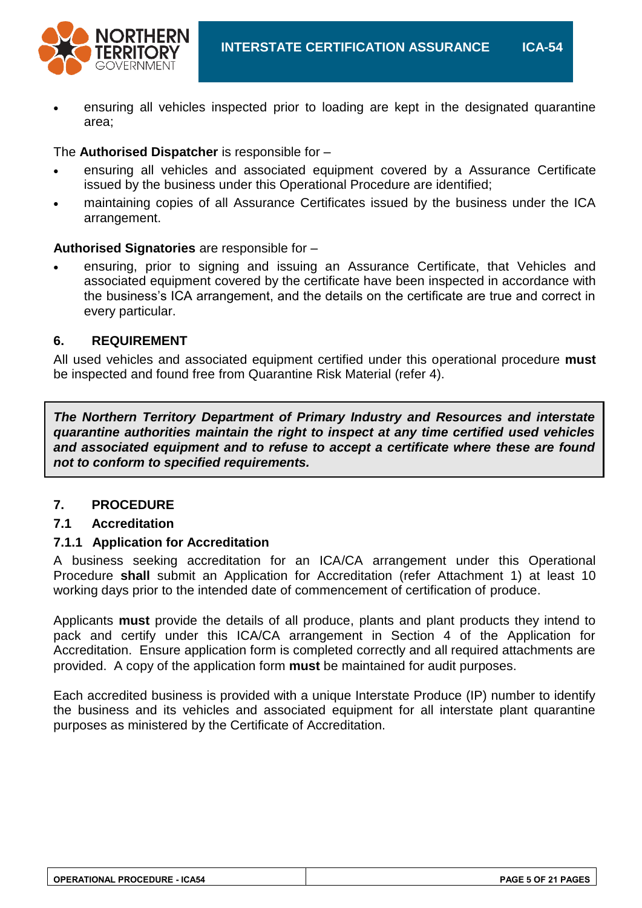

 ensuring all vehicles inspected prior to loading are kept in the designated quarantine area;

The **Authorised Dispatcher** is responsible for –

- ensuring all vehicles and associated equipment covered by a Assurance Certificate issued by the business under this Operational Procedure are identified;
- maintaining copies of all Assurance Certificates issued by the business under the ICA arrangement.

#### **Authorised Signatories** are responsible for –

 ensuring, prior to signing and issuing an Assurance Certificate, that Vehicles and associated equipment covered by the certificate have been inspected in accordance with the business's ICA arrangement, and the details on the certificate are true and correct in every particular.

#### **6. REQUIREMENT**

All used vehicles and associated equipment certified under this operational procedure **must** be inspected and found free from Quarantine Risk Material (refer 4).

*The Northern Territory Department of Primary Industry and Resources and interstate quarantine authorities maintain the right to inspect at any time certified used vehicles and associated equipment and to refuse to accept a certificate where these are found not to conform to specified requirements.*

#### **7. PROCEDURE**

#### **7.1 Accreditation**

#### **7.1.1 Application for Accreditation**

A business seeking accreditation for an ICA/CA arrangement under this Operational Procedure **shall** submit an Application for Accreditation (refer Attachment 1) at least 10 working days prior to the intended date of commencement of certification of produce.

Applicants **must** provide the details of all produce, plants and plant products they intend to pack and certify under this ICA/CA arrangement in Section 4 of the Application for Accreditation. Ensure application form is completed correctly and all required attachments are provided. A copy of the application form **must** be maintained for audit purposes.

Each accredited business is provided with a unique Interstate Produce (IP) number to identify the business and its vehicles and associated equipment for all interstate plant quarantine purposes as ministered by the Certificate of Accreditation.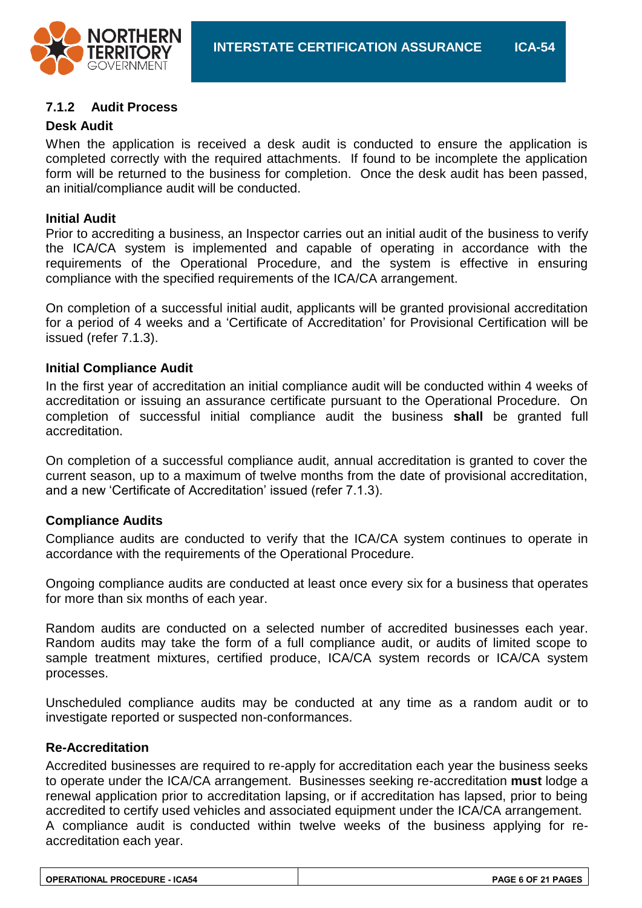

#### **7.1.2 Audit Process**

#### **Desk Audit**

When the application is received a desk audit is conducted to ensure the application is completed correctly with the required attachments. If found to be incomplete the application form will be returned to the business for completion. Once the desk audit has been passed, an initial/compliance audit will be conducted.

#### **Initial Audit**

Prior to accrediting a business, an Inspector carries out an initial audit of the business to verify the ICA/CA system is implemented and capable of operating in accordance with the requirements of the Operational Procedure, and the system is effective in ensuring compliance with the specified requirements of the ICA/CA arrangement.

On completion of a successful initial audit, applicants will be granted provisional accreditation for a period of 4 weeks and a 'Certificate of Accreditation' for Provisional Certification will be issued (refer 7.1.3).

#### **Initial Compliance Audit**

In the first year of accreditation an initial compliance audit will be conducted within 4 weeks of accreditation or issuing an assurance certificate pursuant to the Operational Procedure. On completion of successful initial compliance audit the business **shall** be granted full accreditation.

On completion of a successful compliance audit, annual accreditation is granted to cover the current season, up to a maximum of twelve months from the date of provisional accreditation, and a new 'Certificate of Accreditation' issued (refer 7.1.3).

#### **Compliance Audits**

Compliance audits are conducted to verify that the ICA/CA system continues to operate in accordance with the requirements of the Operational Procedure.

Ongoing compliance audits are conducted at least once every six for a business that operates for more than six months of each year.

Random audits are conducted on a selected number of accredited businesses each year. Random audits may take the form of a full compliance audit, or audits of limited scope to sample treatment mixtures, certified produce, ICA/CA system records or ICA/CA system processes.

Unscheduled compliance audits may be conducted at any time as a random audit or to investigate reported or suspected non-conformances.

#### **Re-Accreditation**

Accredited businesses are required to re-apply for accreditation each year the business seeks to operate under the ICA/CA arrangement. Businesses seeking re-accreditation **must** lodge a renewal application prior to accreditation lapsing, or if accreditation has lapsed, prior to being accredited to certify used vehicles and associated equipment under the ICA/CA arrangement. A compliance audit is conducted within twelve weeks of the business applying for reaccreditation each year.

| <b>OPERATIONAL PROCEDURE - ICA54</b> | <b>PAGE 6 OF 21 PAGES</b> |
|--------------------------------------|---------------------------|
|--------------------------------------|---------------------------|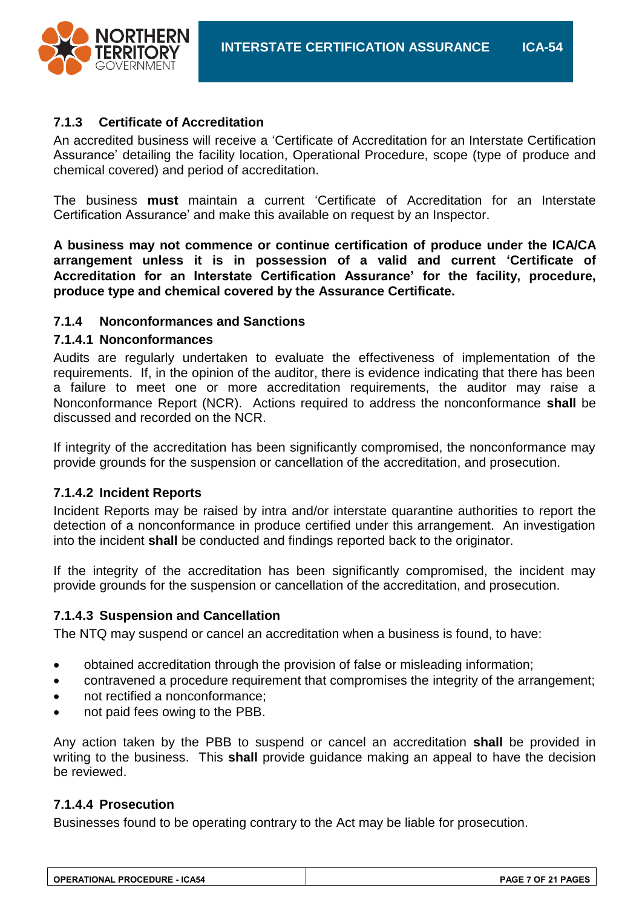

#### **7.1.3 Certificate of Accreditation**

An accredited business will receive a 'Certificate of Accreditation for an Interstate Certification Assurance' detailing the facility location, Operational Procedure, scope (type of produce and chemical covered) and period of accreditation.

The business **must** maintain a current 'Certificate of Accreditation for an Interstate Certification Assurance' and make this available on request by an Inspector.

**A business may not commence or continue certification of produce under the ICA/CA arrangement unless it is in possession of a valid and current 'Certificate of Accreditation for an Interstate Certification Assurance' for the facility, procedure, produce type and chemical covered by the Assurance Certificate.**

#### **7.1.4 Nonconformances and Sanctions**

#### **7.1.4.1 Nonconformances**

Audits are regularly undertaken to evaluate the effectiveness of implementation of the requirements. If, in the opinion of the auditor, there is evidence indicating that there has been a failure to meet one or more accreditation requirements, the auditor may raise a Nonconformance Report (NCR). Actions required to address the nonconformance **shall** be discussed and recorded on the NCR.

If integrity of the accreditation has been significantly compromised, the nonconformance may provide grounds for the suspension or cancellation of the accreditation, and prosecution.

#### **7.1.4.2 Incident Reports**

Incident Reports may be raised by intra and/or interstate quarantine authorities to report the detection of a nonconformance in produce certified under this arrangement. An investigation into the incident **shall** be conducted and findings reported back to the originator.

If the integrity of the accreditation has been significantly compromised, the incident may provide grounds for the suspension or cancellation of the accreditation, and prosecution.

#### **7.1.4.3 Suspension and Cancellation**

The NTQ may suspend or cancel an accreditation when a business is found, to have:

- obtained accreditation through the provision of false or misleading information;
- contravened a procedure requirement that compromises the integrity of the arrangement;
- not rectified a nonconformance;
- not paid fees owing to the PBB.

Any action taken by the PBB to suspend or cancel an accreditation **shall** be provided in writing to the business. This **shall** provide guidance making an appeal to have the decision be reviewed.

#### **7.1.4.4 Prosecution**

Businesses found to be operating contrary to the Act may be liable for prosecution.

| <b>OPERATIONAL PROCEDURE - ICA54</b> | <b>PAGE 7 OF 21 PAGES</b> |
|--------------------------------------|---------------------------|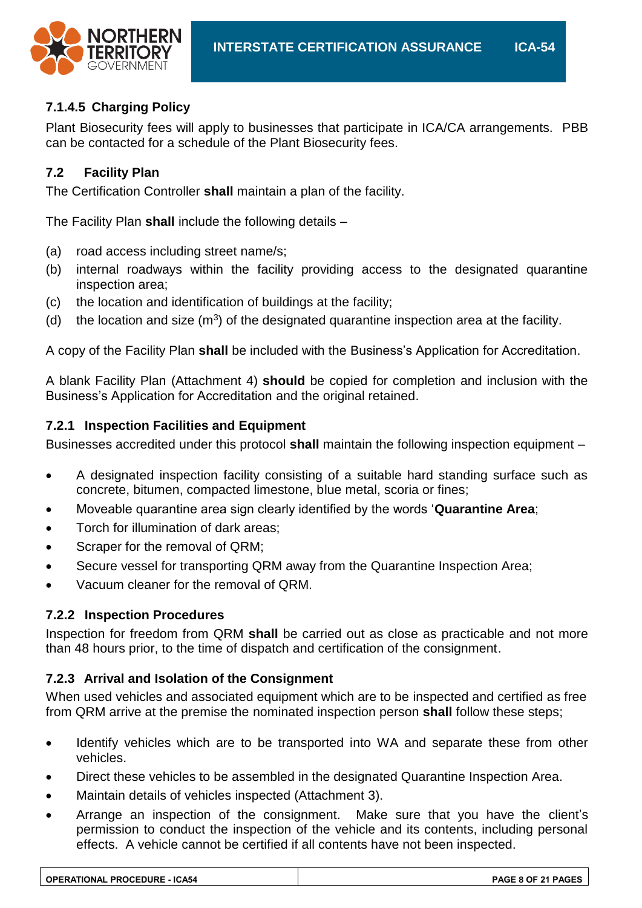

#### **7.1.4.5 Charging Policy**

Plant Biosecurity fees will apply to businesses that participate in ICA/CA arrangements. PBB can be contacted for a schedule of the Plant Biosecurity fees.

#### **7.2 Facility Plan**

The Certification Controller **shall** maintain a plan of the facility.

The Facility Plan **shall** include the following details –

- (a) road access including street name/s;
- (b) internal roadways within the facility providing access to the designated quarantine inspection area;
- (c) the location and identification of buildings at the facility;
- (d) the location and size  $(m^3)$  of the designated quarantine inspection area at the facility.

A copy of the Facility Plan **shall** be included with the Business's Application for Accreditation.

A blank Facility Plan (Attachment 4) **should** be copied for completion and inclusion with the Business's Application for Accreditation and the original retained.

#### **7.2.1 Inspection Facilities and Equipment**

Businesses accredited under this protocol **shall** maintain the following inspection equipment –

- A designated inspection facility consisting of a suitable hard standing surface such as concrete, bitumen, compacted limestone, blue metal, scoria or fines;
- Moveable quarantine area sign clearly identified by the words '**Quarantine Area**;
- Torch for illumination of dark areas;
- Scraper for the removal of QRM;
- Secure vessel for transporting QRM away from the Quarantine Inspection Area;
- Vacuum cleaner for the removal of QRM.

#### **7.2.2 Inspection Procedures**

Inspection for freedom from QRM **shall** be carried out as close as practicable and not more than 48 hours prior, to the time of dispatch and certification of the consignment.

#### **7.2.3 Arrival and Isolation of the Consignment**

When used vehicles and associated equipment which are to be inspected and certified as free from QRM arrive at the premise the nominated inspection person **shall** follow these steps;

- Identify vehicles which are to be transported into WA and separate these from other vehicles.
- Direct these vehicles to be assembled in the designated Quarantine Inspection Area.
- Maintain details of vehicles inspected (Attachment 3).
- Arrange an inspection of the consignment. Make sure that you have the client's permission to conduct the inspection of the vehicle and its contents, including personal effects. A vehicle cannot be certified if all contents have not been inspected.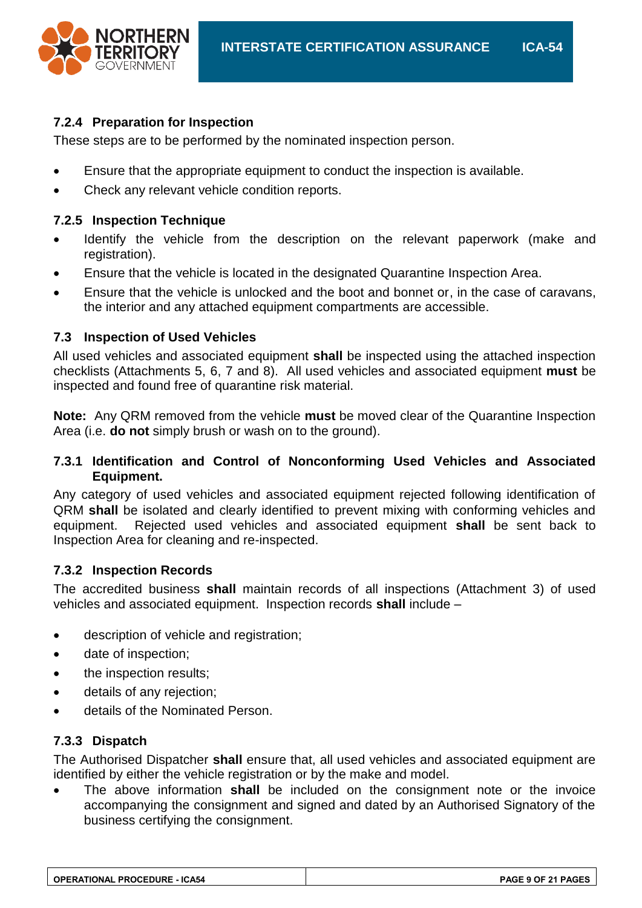

#### **7.2.4 Preparation for Inspection**

These steps are to be performed by the nominated inspection person.

- Ensure that the appropriate equipment to conduct the inspection is available.
- Check any relevant vehicle condition reports.

#### **7.2.5 Inspection Technique**

- Identify the vehicle from the description on the relevant paperwork (make and registration).
- Ensure that the vehicle is located in the designated Quarantine Inspection Area.
- Ensure that the vehicle is unlocked and the boot and bonnet or, in the case of caravans, the interior and any attached equipment compartments are accessible.

#### **7.3 Inspection of Used Vehicles**

All used vehicles and associated equipment **shall** be inspected using the attached inspection checklists (Attachments 5, 6, 7 and 8). All used vehicles and associated equipment **must** be inspected and found free of quarantine risk material.

**Note:** Any QRM removed from the vehicle **must** be moved clear of the Quarantine Inspection Area (i.e. **do not** simply brush or wash on to the ground).

#### **7.3.1 Identification and Control of Nonconforming Used Vehicles and Associated Equipment.**

Any category of used vehicles and associated equipment rejected following identification of QRM **shall** be isolated and clearly identified to prevent mixing with conforming vehicles and equipment. Rejected used vehicles and associated equipment **shall** be sent back to Inspection Area for cleaning and re-inspected.

#### **7.3.2 Inspection Records**

The accredited business **shall** maintain records of all inspections (Attachment 3) of used vehicles and associated equipment. Inspection records **shall** include –

- description of vehicle and registration;
- date of inspection;
- the inspection results;
- details of any rejection;
- details of the Nominated Person.

#### **7.3.3 Dispatch**

The Authorised Dispatcher **shall** ensure that, all used vehicles and associated equipment are identified by either the vehicle registration or by the make and model.

 The above information **shall** be included on the consignment note or the invoice accompanying the consignment and signed and dated by an Authorised Signatory of the business certifying the consignment.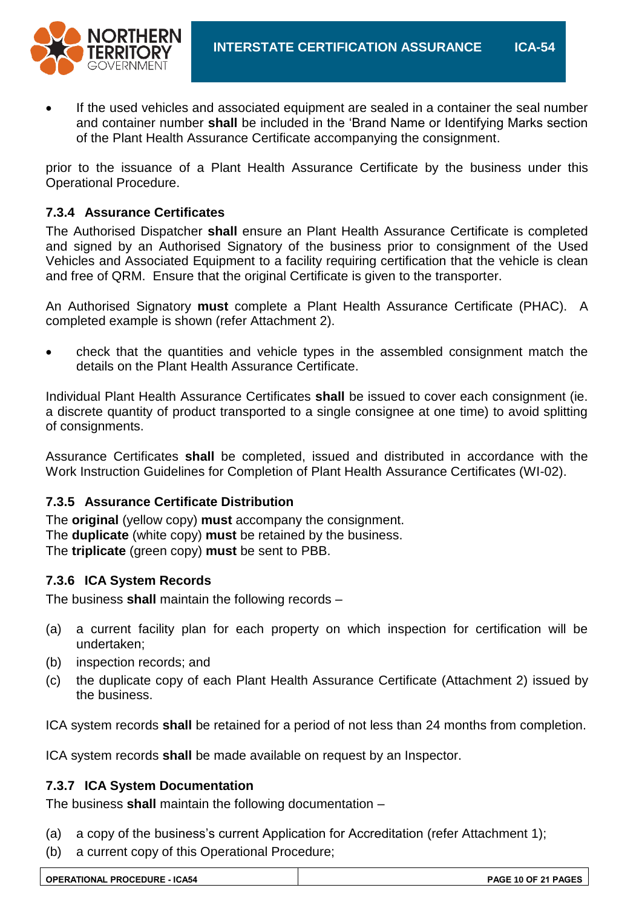

 If the used vehicles and associated equipment are sealed in a container the seal number and container number **shall** be included in the 'Brand Name or Identifying Marks section of the Plant Health Assurance Certificate accompanying the consignment.

prior to the issuance of a Plant Health Assurance Certificate by the business under this Operational Procedure.

#### **7.3.4 Assurance Certificates**

The Authorised Dispatcher **shall** ensure an Plant Health Assurance Certificate is completed and signed by an Authorised Signatory of the business prior to consignment of the Used Vehicles and Associated Equipment to a facility requiring certification that the vehicle is clean and free of QRM. Ensure that the original Certificate is given to the transporter.

An Authorised Signatory **must** complete a Plant Health Assurance Certificate (PHAC). A completed example is shown (refer Attachment 2).

 check that the quantities and vehicle types in the assembled consignment match the details on the Plant Health Assurance Certificate.

Individual Plant Health Assurance Certificates **shall** be issued to cover each consignment (ie. a discrete quantity of product transported to a single consignee at one time) to avoid splitting of consignments.

Assurance Certificates **shall** be completed, issued and distributed in accordance with the Work Instruction Guidelines for Completion of Plant Health Assurance Certificates (WI-02).

#### **7.3.5 Assurance Certificate Distribution**

The **original** (yellow copy) **must** accompany the consignment. The **duplicate** (white copy) **must** be retained by the business. The **triplicate** (green copy) **must** be sent to PBB.

#### **7.3.6 ICA System Records**

The business **shall** maintain the following records –

- (a) a current facility plan for each property on which inspection for certification will be undertaken;
- (b) inspection records; and
- (c) the duplicate copy of each Plant Health Assurance Certificate (Attachment 2) issued by the business.

ICA system records **shall** be retained for a period of not less than 24 months from completion.

ICA system records **shall** be made available on request by an Inspector.

#### **7.3.7 ICA System Documentation**

The business **shall** maintain the following documentation –

- (a) a copy of the business's current Application for Accreditation (refer Attachment 1);
- (b) a current copy of this Operational Procedure;

| <b>OPERATIONAL PROCEDURE - ICA54</b> | PAGE 10 OF 21 PAGES |
|--------------------------------------|---------------------|
|                                      |                     |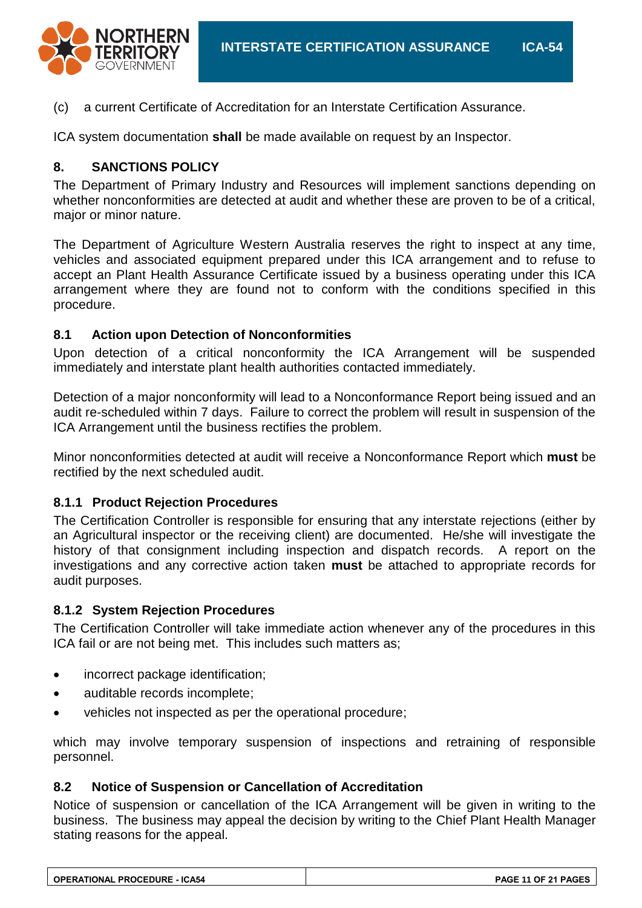

(c) a current Certificate of Accreditation for an Interstate Certification Assurance.

ICA system documentation **shall** be made available on request by an Inspector.

#### **8. SANCTIONS POLICY**

The Department of Primary Industry and Resources will implement sanctions depending on whether nonconformities are detected at audit and whether these are proven to be of a critical, major or minor nature.

The Department of Agriculture Western Australia reserves the right to inspect at any time, vehicles and associated equipment prepared under this ICA arrangement and to refuse to accept an Plant Health Assurance Certificate issued by a business operating under this ICA arrangement where they are found not to conform with the conditions specified in this procedure.

#### **8.1 Action upon Detection of Nonconformities**

Upon detection of a critical nonconformity the ICA Arrangement will be suspended immediately and interstate plant health authorities contacted immediately.

Detection of a major nonconformity will lead to a Nonconformance Report being issued and an audit re-scheduled within 7 days. Failure to correct the problem will result in suspension of the ICA Arrangement until the business rectifies the problem.

Minor nonconformities detected at audit will receive a Nonconformance Report which **must** be rectified by the next scheduled audit.

#### **8.1.1 Product Rejection Procedures**

The Certification Controller is responsible for ensuring that any interstate rejections (either by an Agricultural inspector or the receiving client) are documented. He/she will investigate the history of that consignment including inspection and dispatch records. A report on the investigations and any corrective action taken **must** be attached to appropriate records for audit purposes.

#### **8.1.2 System Rejection Procedures**

The Certification Controller will take immediate action whenever any of the procedures in this ICA fail or are not being met. This includes such matters as;

- incorrect package identification;
- auditable records incomplete;
- vehicles not inspected as per the operational procedure;

which may involve temporary suspension of inspections and retraining of responsible personnel.

#### **8.2 Notice of Suspension or Cancellation of Accreditation**

Notice of suspension or cancellation of the ICA Arrangement will be given in writing to the business. The business may appeal the decision by writing to the Chief Plant Health Manager stating reasons for the appeal.

| <b>OPERATIONAL PROCEDURE - ICA54</b> | PAGE 11 OF 21 PAGES |
|--------------------------------------|---------------------|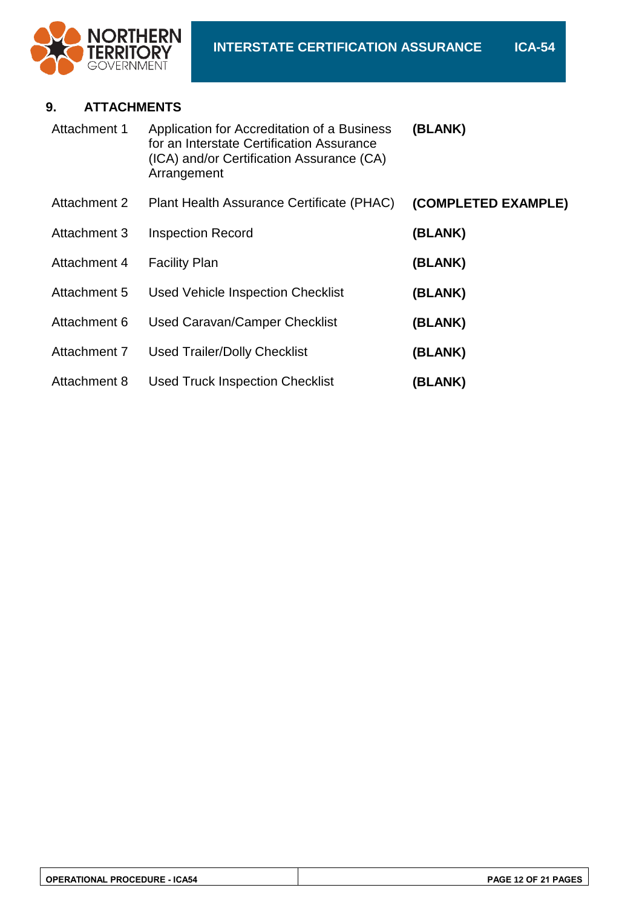

#### **9. ATTACHMENTS**

| Attachment 1 | Application for Accreditation of a Business<br>for an Interstate Certification Assurance<br>(ICA) and/or Certification Assurance (CA)<br>Arrangement | (BLANK)             |
|--------------|------------------------------------------------------------------------------------------------------------------------------------------------------|---------------------|
| Attachment 2 | Plant Health Assurance Certificate (PHAC)                                                                                                            | (COMPLETED EXAMPLE) |
| Attachment 3 | <b>Inspection Record</b>                                                                                                                             | (BLANK)             |
| Attachment 4 | <b>Facility Plan</b>                                                                                                                                 | (BLANK)             |
| Attachment 5 | <b>Used Vehicle Inspection Checklist</b>                                                                                                             | (BLANK)             |
| Attachment 6 | Used Caravan/Camper Checklist                                                                                                                        | (BLANK)             |
| Attachment 7 | <b>Used Trailer/Dolly Checklist</b>                                                                                                                  | (BLANK)             |
| Attachment 8 | <b>Used Truck Inspection Checklist</b>                                                                                                               | (BLANK)             |

| <b>OPERATIONAL PROCEDURE - ICA54</b> | PAGE 12 OF 21 PAGES |
|--------------------------------------|---------------------|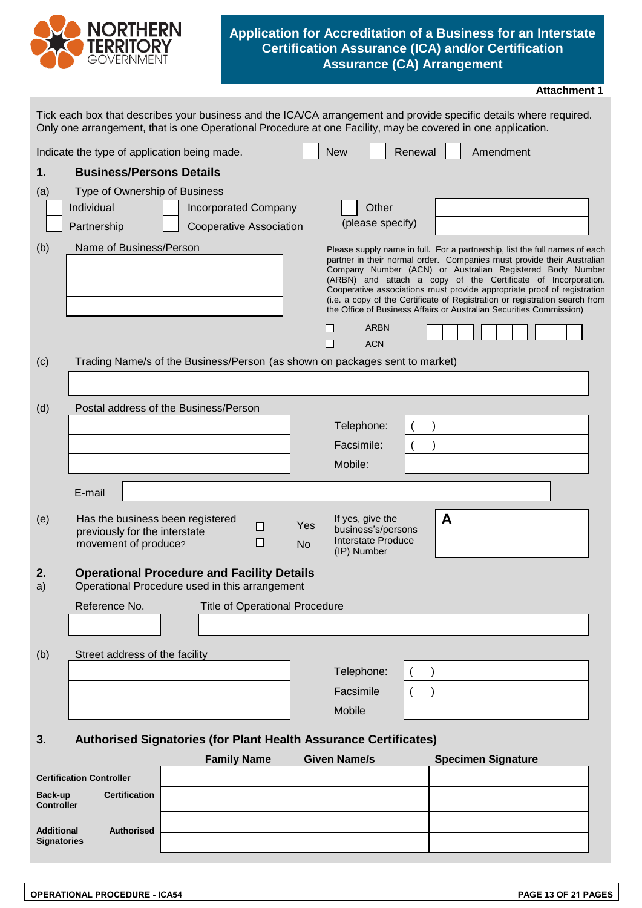

#### **Application for Accreditation of a Business for an Interstate Certification Assurance (ICA) and/or Certification Assurance (CA) Arrangement**

|                              |                                                                                                                                                                                                                                   |                                |                                       |                  |                                                                                    |         |                                                                     | <b>Attachment 1</b>                                                                                                                                                                                                                                                                                                                                                                                                                          |
|------------------------------|-----------------------------------------------------------------------------------------------------------------------------------------------------------------------------------------------------------------------------------|--------------------------------|---------------------------------------|------------------|------------------------------------------------------------------------------------|---------|---------------------------------------------------------------------|----------------------------------------------------------------------------------------------------------------------------------------------------------------------------------------------------------------------------------------------------------------------------------------------------------------------------------------------------------------------------------------------------------------------------------------------|
|                              | Tick each box that describes your business and the ICA/CA arrangement and provide specific details where required.<br>Only one arrangement, that is one Operational Procedure at one Facility, may be covered in one application. |                                |                                       |                  |                                                                                    |         |                                                                     |                                                                                                                                                                                                                                                                                                                                                                                                                                              |
|                              | Indicate the type of application being made.                                                                                                                                                                                      |                                |                                       |                  | <b>New</b>                                                                         | Renewal | Amendment                                                           |                                                                                                                                                                                                                                                                                                                                                                                                                                              |
| 1.                           | <b>Business/Persons Details</b>                                                                                                                                                                                                   |                                |                                       |                  |                                                                                    |         |                                                                     |                                                                                                                                                                                                                                                                                                                                                                                                                                              |
| (a)                          | Type of Ownership of Business                                                                                                                                                                                                     |                                |                                       |                  |                                                                                    |         |                                                                     |                                                                                                                                                                                                                                                                                                                                                                                                                                              |
|                              | Individual                                                                                                                                                                                                                        | <b>Incorporated Company</b>    |                                       |                  | Other                                                                              |         |                                                                     |                                                                                                                                                                                                                                                                                                                                                                                                                                              |
|                              | Partnership                                                                                                                                                                                                                       | <b>Cooperative Association</b> |                                       |                  | (please specify)                                                                   |         |                                                                     |                                                                                                                                                                                                                                                                                                                                                                                                                                              |
| (b)                          | Name of Business/Person                                                                                                                                                                                                           |                                |                                       |                  | <b>ARBN</b><br><b>ACN</b>                                                          |         | the Office of Business Affairs or Australian Securities Commission) | Please supply name in full. For a partnership, list the full names of each<br>partner in their normal order. Companies must provide their Australian<br>Company Number (ACN) or Australian Registered Body Number<br>(ARBN) and attach a copy of the Certificate of Incorporation.<br>Cooperative associations must provide appropriate proof of registration<br>(i.e. a copy of the Certificate of Registration or registration search from |
| (c)                          | Trading Name/s of the Business/Person (as shown on packages sent to market)                                                                                                                                                       |                                |                                       |                  |                                                                                    |         |                                                                     |                                                                                                                                                                                                                                                                                                                                                                                                                                              |
|                              |                                                                                                                                                                                                                                   |                                |                                       |                  |                                                                                    |         |                                                                     |                                                                                                                                                                                                                                                                                                                                                                                                                                              |
| (d)                          | Postal address of the Business/Person                                                                                                                                                                                             |                                |                                       |                  |                                                                                    |         |                                                                     |                                                                                                                                                                                                                                                                                                                                                                                                                                              |
|                              |                                                                                                                                                                                                                                   |                                |                                       |                  | Telephone:                                                                         |         |                                                                     |                                                                                                                                                                                                                                                                                                                                                                                                                                              |
|                              |                                                                                                                                                                                                                                   |                                |                                       |                  | Facsimile:                                                                         |         |                                                                     |                                                                                                                                                                                                                                                                                                                                                                                                                                              |
|                              |                                                                                                                                                                                                                                   |                                |                                       |                  | Mobile:                                                                            |         |                                                                     |                                                                                                                                                                                                                                                                                                                                                                                                                                              |
|                              | E-mail                                                                                                                                                                                                                            |                                |                                       |                  |                                                                                    |         |                                                                     |                                                                                                                                                                                                                                                                                                                                                                                                                                              |
| (e)                          | Has the business been registered<br>previously for the interstate<br>movement of produce?                                                                                                                                         |                                | □<br>П                                | Yes<br><b>No</b> | If yes, give the<br>business's/persons<br><b>Interstate Produce</b><br>(IP) Number |         | A                                                                   |                                                                                                                                                                                                                                                                                                                                                                                                                                              |
| z.<br>a)                     | <b>Operational Procedure and Facility Details</b><br>Operational Procedure used in this arrangement                                                                                                                               |                                |                                       |                  |                                                                                    |         |                                                                     |                                                                                                                                                                                                                                                                                                                                                                                                                                              |
|                              | Reference No.                                                                                                                                                                                                                     |                                | <b>Title of Operational Procedure</b> |                  |                                                                                    |         |                                                                     |                                                                                                                                                                                                                                                                                                                                                                                                                                              |
|                              |                                                                                                                                                                                                                                   |                                |                                       |                  |                                                                                    |         |                                                                     |                                                                                                                                                                                                                                                                                                                                                                                                                                              |
| (b)                          | Street address of the facility                                                                                                                                                                                                    |                                |                                       |                  |                                                                                    |         |                                                                     |                                                                                                                                                                                                                                                                                                                                                                                                                                              |
|                              |                                                                                                                                                                                                                                   |                                |                                       |                  | Telephone:                                                                         |         |                                                                     |                                                                                                                                                                                                                                                                                                                                                                                                                                              |
|                              |                                                                                                                                                                                                                                   |                                |                                       |                  | Facsimile                                                                          |         |                                                                     |                                                                                                                                                                                                                                                                                                                                                                                                                                              |
|                              |                                                                                                                                                                                                                                   |                                |                                       |                  | Mobile                                                                             |         |                                                                     |                                                                                                                                                                                                                                                                                                                                                                                                                                              |
| 3.                           | Authorised Signatories (for Plant Health Assurance Certificates)                                                                                                                                                                  |                                |                                       |                  |                                                                                    |         |                                                                     |                                                                                                                                                                                                                                                                                                                                                                                                                                              |
|                              |                                                                                                                                                                                                                                   | <b>Family Name</b>             |                                       |                  | <b>Given Name/s</b>                                                                |         | <b>Specimen Signature</b>                                           |                                                                                                                                                                                                                                                                                                                                                                                                                                              |
|                              | <b>Certification Controller</b>                                                                                                                                                                                                   |                                |                                       |                  |                                                                                    |         |                                                                     |                                                                                                                                                                                                                                                                                                                                                                                                                                              |
| Back-up<br><b>Controller</b> | <b>Certification</b>                                                                                                                                                                                                              |                                |                                       |                  |                                                                                    |         |                                                                     |                                                                                                                                                                                                                                                                                                                                                                                                                                              |
|                              |                                                                                                                                                                                                                                   |                                |                                       |                  |                                                                                    |         |                                                                     |                                                                                                                                                                                                                                                                                                                                                                                                                                              |

| Additional<br><b>Signatories</b> | <b>Authorised</b> |  |  |
|----------------------------------|-------------------|--|--|
|                                  |                   |  |  |

| <b>OPERATIONAL PROCEDURE - ICA54</b> | PAGE 13 OF 21 PAGES |
|--------------------------------------|---------------------|
|                                      |                     |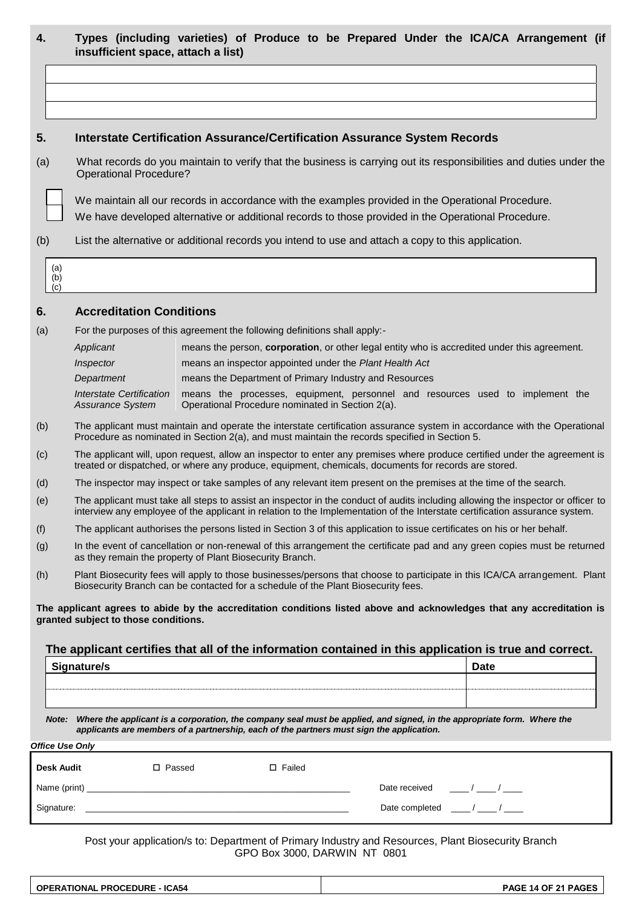| 4.  |                        | insufficient space, attach a list)                                                                                                                                                                                                                              |  |                                                         |                                                                                                     | Types (including varieties) of Produce to be Prepared Under the ICA/CA Arrangement (if                                       |
|-----|------------------------|-----------------------------------------------------------------------------------------------------------------------------------------------------------------------------------------------------------------------------------------------------------------|--|---------------------------------------------------------|-----------------------------------------------------------------------------------------------------|------------------------------------------------------------------------------------------------------------------------------|
|     |                        |                                                                                                                                                                                                                                                                 |  |                                                         |                                                                                                     |                                                                                                                              |
|     |                        |                                                                                                                                                                                                                                                                 |  |                                                         |                                                                                                     |                                                                                                                              |
|     |                        |                                                                                                                                                                                                                                                                 |  |                                                         |                                                                                                     |                                                                                                                              |
| 5.  |                        |                                                                                                                                                                                                                                                                 |  |                                                         | <b>Interstate Certification Assurance/Certification Assurance System Records</b>                    |                                                                                                                              |
| (a) |                        | <b>Operational Procedure?</b>                                                                                                                                                                                                                                   |  |                                                         |                                                                                                     | What records do you maintain to verify that the business is carrying out its responsibilities and duties under the           |
|     |                        |                                                                                                                                                                                                                                                                 |  |                                                         |                                                                                                     | We maintain all our records in accordance with the examples provided in the Operational Procedure.                           |
|     |                        |                                                                                                                                                                                                                                                                 |  |                                                         | We have developed alternative or additional records to those provided in the Operational Procedure. |                                                                                                                              |
| (b) |                        |                                                                                                                                                                                                                                                                 |  |                                                         | List the alternative or additional records you intend to use and attach a copy to this application. |                                                                                                                              |
|     | (a)<br>(b)<br>(c)      |                                                                                                                                                                                                                                                                 |  |                                                         |                                                                                                     |                                                                                                                              |
| 6.  |                        | <b>Accreditation Conditions</b>                                                                                                                                                                                                                                 |  |                                                         |                                                                                                     |                                                                                                                              |
| (a) |                        | For the purposes of this agreement the following definitions shall apply:-                                                                                                                                                                                      |  |                                                         |                                                                                                     |                                                                                                                              |
|     |                        | Applicant                                                                                                                                                                                                                                                       |  |                                                         |                                                                                                     | means the person, corporation, or other legal entity who is accredited under this agreement.                                 |
|     |                        | Inspector                                                                                                                                                                                                                                                       |  | means an inspector appointed under the Plant Health Act |                                                                                                     |                                                                                                                              |
|     |                        | Department                                                                                                                                                                                                                                                      |  |                                                         | means the Department of Primary Industry and Resources                                              |                                                                                                                              |
|     |                        | <b>Interstate Certification</b><br>Assurance System                                                                                                                                                                                                             |  | Operational Procedure nominated in Section 2(a).        |                                                                                                     | means the processes, equipment, personnel and resources used to implement the                                                |
| (b) |                        |                                                                                                                                                                                                                                                                 |  |                                                         | Procedure as nominated in Section 2(a), and must maintain the records specified in Section 5.       | The applicant must maintain and operate the interstate certification assurance system in accordance with the Operational     |
| (c) |                        | The applicant will, upon request, allow an inspector to enter any premises where produce certified under the agreement is<br>treated or dispatched, or where any produce, equipment, chemicals, documents for records are stored.                               |  |                                                         |                                                                                                     |                                                                                                                              |
| (d) |                        | The inspector may inspect or take samples of any relevant item present on the premises at the time of the search.                                                                                                                                               |  |                                                         |                                                                                                     |                                                                                                                              |
| (e) |                        | The applicant must take all steps to assist an inspector in the conduct of audits including allowing the inspector or officer to<br>interview any employee of the applicant in relation to the Implementation of the Interstate certification assurance system. |  |                                                         |                                                                                                     |                                                                                                                              |
| (f) |                        |                                                                                                                                                                                                                                                                 |  |                                                         |                                                                                                     | The applicant authorises the persons listed in Section 3 of this application to issue certificates on his or her behalf.     |
| (g) |                        | as they remain the property of Plant Biosecurity Branch.                                                                                                                                                                                                        |  |                                                         |                                                                                                     | In the event of cancellation or non-renewal of this arrangement the certificate pad and any green copies must be returned    |
| (h) |                        | Biosecurity Branch can be contacted for a schedule of the Plant Biosecurity fees.                                                                                                                                                                               |  |                                                         |                                                                                                     | Plant Biosecurity fees will apply to those businesses/persons that choose to participate in this ICA/CA arrangement. Plant   |
|     |                        | granted subject to those conditions.                                                                                                                                                                                                                            |  |                                                         |                                                                                                     | The applicant agrees to abide by the accreditation conditions listed above and acknowledges that any accreditation is        |
|     |                        |                                                                                                                                                                                                                                                                 |  |                                                         |                                                                                                     | The applicant certifies that all of the information contained in this application is true and correct.                       |
|     |                        | Signature/s                                                                                                                                                                                                                                                     |  |                                                         |                                                                                                     | Date                                                                                                                         |
|     |                        |                                                                                                                                                                                                                                                                 |  |                                                         |                                                                                                     |                                                                                                                              |
|     |                        |                                                                                                                                                                                                                                                                 |  |                                                         |                                                                                                     |                                                                                                                              |
|     |                        | applicants are members of a partnership, each of the partners must sign the application.                                                                                                                                                                        |  |                                                         |                                                                                                     | Note: Where the applicant is a corporation, the company seal must be applied, and signed, in the appropriate form. Where the |
|     | <b>Office Use Only</b> |                                                                                                                                                                                                                                                                 |  |                                                         |                                                                                                     |                                                                                                                              |
|     | Desk Audit             | □ Passed                                                                                                                                                                                                                                                        |  | □ Failed                                                |                                                                                                     |                                                                                                                              |
|     |                        |                                                                                                                                                                                                                                                                 |  |                                                         |                                                                                                     | Date received $\frac{1}{2}$ / $\frac{1}{2}$ / $\frac{1}{2}$                                                                  |
|     |                        |                                                                                                                                                                                                                                                                 |  |                                                         |                                                                                                     | Date completed $\frac{1}{2}$ / $\frac{1}{2}$ / $\frac{1}{2}$                                                                 |

Post your application/s to: Department of Primary Industry and Resources, Plant Biosecurity Branch GPO Box 3000, DARWIN NT 0801

| <b>OPERATIONAL PROCEDURE - ICA54</b> | PAGE 14 OF 21 PAGES |
|--------------------------------------|---------------------|
|                                      |                     |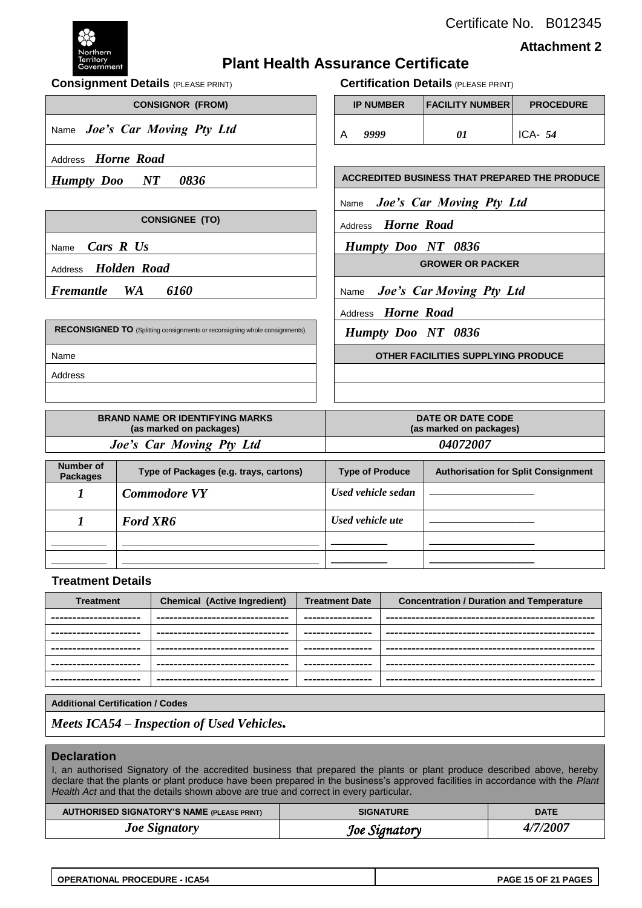Certificate No. B012345



**Attachment 2**

### **Plant Health Assurance Certificate**

**Consignment Details** (PLEASE PRINT) **Certification Details** (PLEASE PRINT)

| <b>IP NUMBER</b> | FACILITY NUMBER | <b>PROCEDURE</b> |
|------------------|-----------------|------------------|
| 9999             | 01              | ICA- $54$        |

*Humpty Doo NT 0836*  $\vert$  **ACCREDITED BUSINESS THAT PREPARED THE PRODUCE** 

Name *Joe's Car Moving Pty Ltd*

**CONSIGNEE (TO)** Address *Horne Road* 

Name *Cars R Us Humpty Doo NT 0836*

**GROWER OR PACKER**

**Fremantle WA** 6160  $\vert$  Name *Joe's Car Moving Pty Ltd* 

Address *Horne Road*

*Humpty Doo NT 0836*

 $CONSIGNOR$  (FROM)

Name *Joe's Car Moving Pty Ltd* 

Address *Horne Road*

Address *Holden Road*

**RECONSIGNED TO** (Splitting consignments or reconsigning whole consignments). Name **OTHER FACILITIES SUPPLYING PRODUCE** Address

| <b>BRAND NAME OR IDENTIFYING MARKS</b><br>(as marked on packages) | DATE OR DATE CODE<br>(as marked on packages) |
|-------------------------------------------------------------------|----------------------------------------------|
| Joe's Car Moving Pty Ltd                                          | <i><b>04072007</b></i>                       |
|                                                                   |                                              |
| Number of                                                         |                                              |

| Number of<br><b>Packages</b> | Type of Packages (e.g. trays, cartons) | <b>Type of Produce</b> | <b>Authorisation for Split Consignment</b> |
|------------------------------|----------------------------------------|------------------------|--------------------------------------------|
|                              | <b>Commodore VY</b>                    | Used vehicle sedan     |                                            |
|                              | <b>Ford XR6</b>                        | Used vehicle ute       |                                            |
|                              |                                        |                        |                                            |
|                              |                                        |                        |                                            |

#### **Treatment Details**

| <b>Treatment</b>       | <b>Chemical (Active Ingredient)</b> | <b>Treatment Date</b> | <b>Concentration / Duration and Temperature</b> |
|------------------------|-------------------------------------|-----------------------|-------------------------------------------------|
| ---------------------- | ---------------------------------   | ----------------      |                                                 |
| ---------------------  | --------------------------------    | ----------------      |                                                 |
| ---------------------  | --------------------------------    | ----------------      |                                                 |
| ---------------------- | ---------------------------------   | ----------------      |                                                 |
| ---------------------  | --------------------------------    | ----------------      |                                                 |

#### **Additional Certification / Codes**

*Meets ICA54 – Inspection of Used Vehicles.*

#### **Declaration**

I, an authorised Signatory of the accredited business that prepared the plants or plant produce described above, hereby declare that the plants or plant produce have been prepared in the business's approved facilities in accordance with the *Plant*  Health Act and that the details shown above are true and correct in every particular.

| <b>AUTHORISED SIGNATORY'S NAME (PLEASE PRINT)</b> | <b>SIGNATURE</b> | <b>DATE</b> |
|---------------------------------------------------|------------------|-------------|
| <b>Joe Signatory</b>                              | Joe Signatory    | 4/7/2007    |

| <b>OPERATIONAL PROCEDURE - ICA54</b> |
|--------------------------------------|
|                                      |

**OPERATIONAL PROCEDURE - ICA54 PAGE 15 OF 21 PAGES**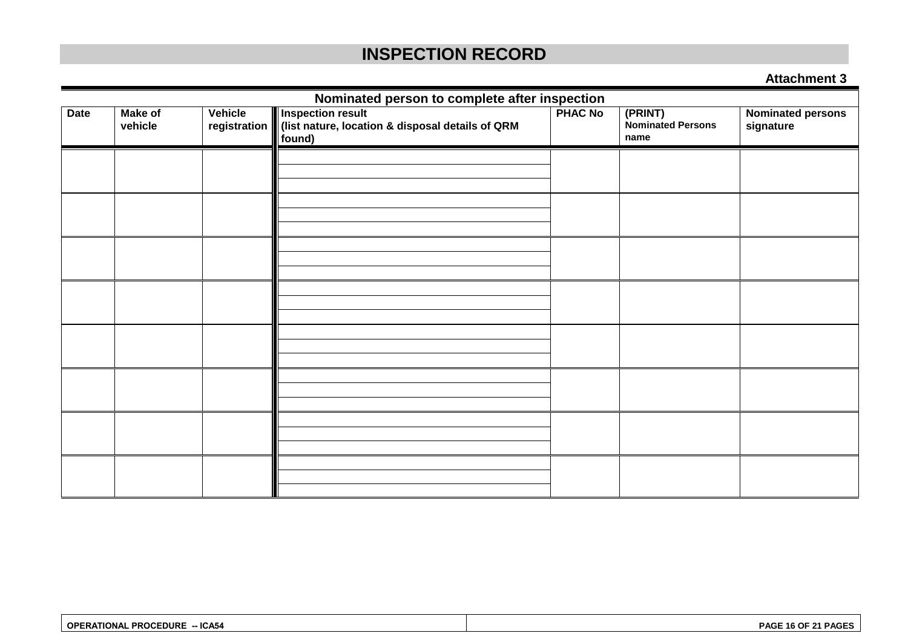### **INSPECTION RECORD**

#### **Attachment 3**

| Nominated person to complete after inspection |         |              |                                                            |                |                                                  |                          |
|-----------------------------------------------|---------|--------------|------------------------------------------------------------|----------------|--------------------------------------------------|--------------------------|
| <b>Make of</b><br>Vehicle<br>Date             |         |              | <b>Inspection result</b>                                   | <b>PHAC No</b> | $\overline{(PRINT)}$<br><b>Nominated Persons</b> | <b>Nominated persons</b> |
|                                               | vehicle | registration | (list nature, location & disposal details of QRM<br>found) |                | name                                             | signature                |
|                                               |         |              |                                                            |                |                                                  |                          |
|                                               |         |              |                                                            |                |                                                  |                          |
|                                               |         |              |                                                            |                |                                                  |                          |
|                                               |         |              |                                                            |                |                                                  |                          |
|                                               |         |              |                                                            |                |                                                  |                          |
|                                               |         |              |                                                            |                |                                                  |                          |
|                                               |         |              |                                                            |                |                                                  |                          |
|                                               |         |              |                                                            |                |                                                  |                          |
|                                               |         |              |                                                            |                |                                                  |                          |
|                                               |         |              |                                                            |                |                                                  |                          |
|                                               |         |              |                                                            |                |                                                  |                          |
|                                               |         |              |                                                            |                |                                                  |                          |
|                                               |         |              |                                                            |                |                                                  |                          |
|                                               |         |              |                                                            |                |                                                  |                          |
|                                               |         |              |                                                            |                |                                                  |                          |
|                                               |         |              |                                                            |                |                                                  |                          |
|                                               |         |              |                                                            |                |                                                  |                          |
|                                               |         |              |                                                            |                |                                                  |                          |
|                                               |         |              |                                                            |                |                                                  |                          |
|                                               |         |              |                                                            |                |                                                  |                          |

| <b>OPERATIONAL PROCEDURE</b><br>-- ICA54 | PAGE 16 OF 21 PAGES |
|------------------------------------------|---------------------|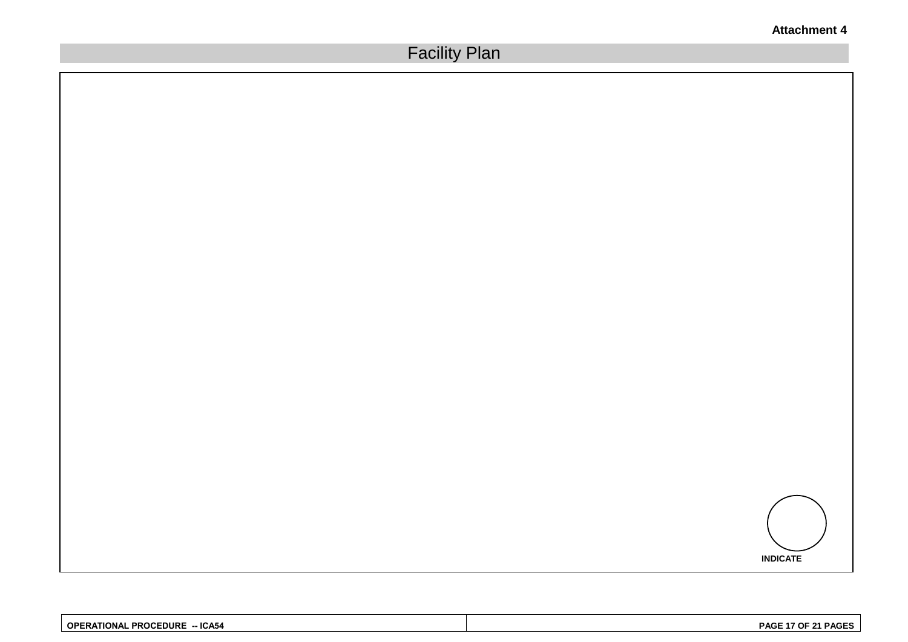

| <b>PROCEDURE</b><br>$-$ ICA54<br><b>OPERATIONAL</b> | PAGE 17 OF 21 PAGES |
|-----------------------------------------------------|---------------------|
|-----------------------------------------------------|---------------------|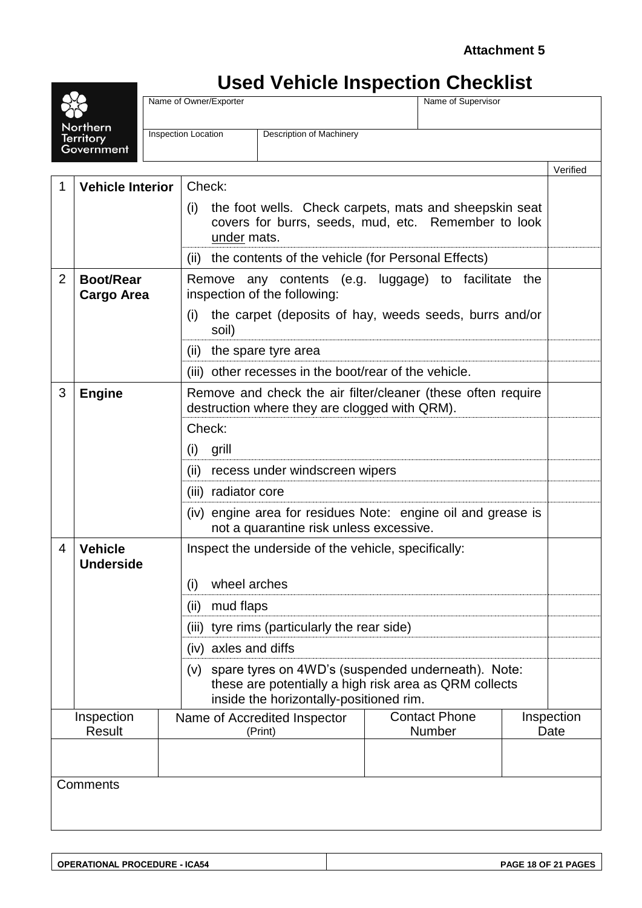## **Used Vehicle Inspection Checklist**

| Northern<br><b>Territory</b><br>Government |                                       |  | Name of Owner/Exporter                                                                                        |                                                                                                                                                         |                                | Name of Supervisor |                    |          |
|--------------------------------------------|---------------------------------------|--|---------------------------------------------------------------------------------------------------------------|---------------------------------------------------------------------------------------------------------------------------------------------------------|--------------------------------|--------------------|--------------------|----------|
|                                            |                                       |  | <b>Inspection Location</b>                                                                                    | Description of Machinery                                                                                                                                |                                |                    |                    |          |
|                                            |                                       |  |                                                                                                               |                                                                                                                                                         |                                |                    |                    |          |
|                                            |                                       |  |                                                                                                               |                                                                                                                                                         |                                |                    |                    | Verified |
| 1                                          | <b>Vehicle Interior</b>               |  | Check:                                                                                                        |                                                                                                                                                         |                                |                    |                    |          |
|                                            |                                       |  | (i)                                                                                                           | the foot wells. Check carpets, mats and sheepskin seat<br>covers for burrs, seeds, mud, etc. Remember to look<br>under mats.                            |                                |                    |                    |          |
|                                            |                                       |  | (ii)                                                                                                          | the contents of the vehicle (for Personal Effects)                                                                                                      |                                |                    |                    |          |
| $\overline{2}$                             | <b>Boot/Rear</b><br><b>Cargo Area</b> |  |                                                                                                               | Remove any contents (e.g. luggage) to facilitate<br>inspection of the following:                                                                        |                                |                    | the                |          |
|                                            |                                       |  | (i)<br>soil)                                                                                                  | the carpet (deposits of hay, weeds seeds, burrs and/or                                                                                                  |                                |                    |                    |          |
|                                            |                                       |  | (ii)                                                                                                          | the spare tyre area                                                                                                                                     |                                |                    |                    |          |
|                                            |                                       |  | (iii)                                                                                                         | other recesses in the boot/rear of the vehicle.                                                                                                         |                                |                    |                    |          |
| 3                                          | <b>Engine</b>                         |  | Remove and check the air filter/cleaner (these often require<br>destruction where they are clogged with QRM). |                                                                                                                                                         |                                |                    |                    |          |
|                                            |                                       |  | Check:                                                                                                        |                                                                                                                                                         |                                |                    |                    |          |
|                                            |                                       |  | grill<br>(i)                                                                                                  |                                                                                                                                                         |                                |                    |                    |          |
|                                            |                                       |  | (ii)<br>recess under windscreen wipers                                                                        |                                                                                                                                                         |                                |                    |                    |          |
|                                            |                                       |  | (iii) radiator core                                                                                           |                                                                                                                                                         |                                |                    |                    |          |
|                                            |                                       |  | (iv) engine area for residues Note: engine oil and grease is<br>not a quarantine risk unless excessive.       |                                                                                                                                                         |                                |                    |                    |          |
| 4                                          | <b>Vehicle</b><br><b>Underside</b>    |  |                                                                                                               | Inspect the underside of the vehicle, specifically:                                                                                                     |                                |                    |                    |          |
|                                            |                                       |  | wheel arches<br>(i)                                                                                           |                                                                                                                                                         |                                |                    |                    |          |
|                                            |                                       |  | mud flaps<br>(ii)                                                                                             |                                                                                                                                                         |                                |                    |                    |          |
|                                            |                                       |  | tyre rims (particularly the rear side)<br>(iii)                                                               |                                                                                                                                                         |                                |                    |                    |          |
|                                            |                                       |  | (iv) axles and diffs                                                                                          |                                                                                                                                                         |                                |                    |                    |          |
|                                            |                                       |  | (V)                                                                                                           | spare tyres on 4WD's (suspended underneath). Note:<br>these are potentially a high risk area as QRM collects<br>inside the horizontally-positioned rim. |                                |                    |                    |          |
| Inspection                                 |                                       |  | Name of Accredited Inspector                                                                                  |                                                                                                                                                         | <b>Contact Phone</b><br>Number |                    | Inspection<br>Date |          |
|                                            | <b>Result</b>                         |  |                                                                                                               | (Print)                                                                                                                                                 |                                |                    |                    |          |
|                                            |                                       |  |                                                                                                               |                                                                                                                                                         |                                |                    |                    |          |
| Comments                                   |                                       |  |                                                                                                               |                                                                                                                                                         |                                |                    |                    |          |
|                                            |                                       |  |                                                                                                               |                                                                                                                                                         |                                |                    |                    |          |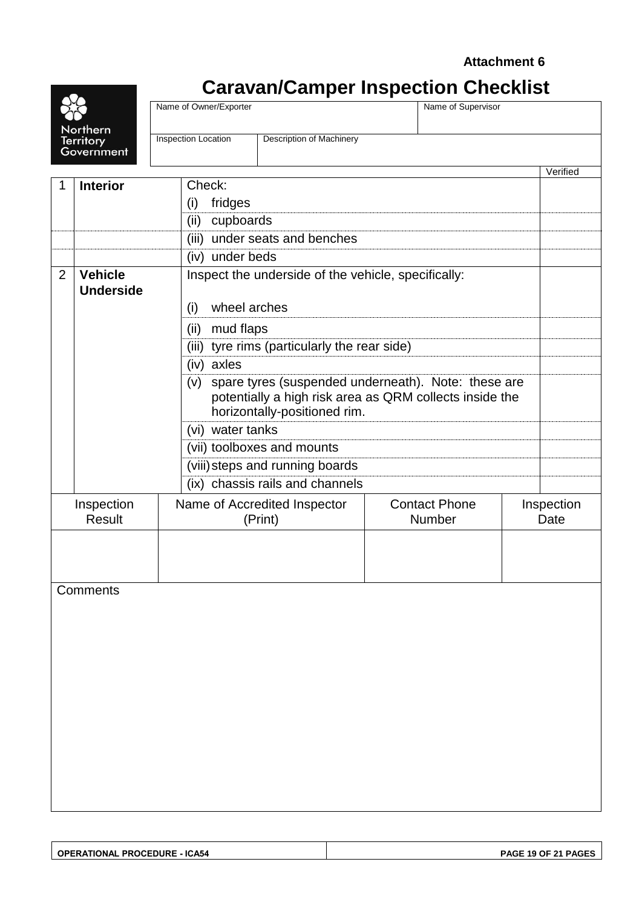### **Caravan/Camper Inspection Checklist**

|                             | Name of Owner/Exporter<br>Name of Supervisor  |                                                                                                                                                |                                                                                                                                                                                                                                 |                                                                                 |                                                                                       |                    |
|-----------------------------|-----------------------------------------------|------------------------------------------------------------------------------------------------------------------------------------------------|---------------------------------------------------------------------------------------------------------------------------------------------------------------------------------------------------------------------------------|---------------------------------------------------------------------------------|---------------------------------------------------------------------------------------|--------------------|
| Territory<br>Government     | Inspection Location                           | Description of Machinery                                                                                                                       |                                                                                                                                                                                                                                 |                                                                                 |                                                                                       |                    |
|                             |                                               |                                                                                                                                                |                                                                                                                                                                                                                                 |                                                                                 |                                                                                       | Verified           |
|                             |                                               |                                                                                                                                                |                                                                                                                                                                                                                                 |                                                                                 |                                                                                       |                    |
|                             |                                               |                                                                                                                                                |                                                                                                                                                                                                                                 |                                                                                 |                                                                                       |                    |
|                             |                                               |                                                                                                                                                |                                                                                                                                                                                                                                 |                                                                                 |                                                                                       |                    |
|                             |                                               |                                                                                                                                                |                                                                                                                                                                                                                                 |                                                                                 |                                                                                       |                    |
|                             |                                               |                                                                                                                                                |                                                                                                                                                                                                                                 |                                                                                 |                                                                                       |                    |
| <b>Underside</b>            | (i)                                           |                                                                                                                                                |                                                                                                                                                                                                                                 |                                                                                 |                                                                                       |                    |
|                             | (ii)                                          |                                                                                                                                                |                                                                                                                                                                                                                                 |                                                                                 |                                                                                       |                    |
|                             |                                               |                                                                                                                                                |                                                                                                                                                                                                                                 |                                                                                 |                                                                                       |                    |
|                             | (iv) axles                                    |                                                                                                                                                |                                                                                                                                                                                                                                 |                                                                                 |                                                                                       |                    |
|                             | (v)                                           | spare tyres (suspended underneath). Note: these are<br>potentially a high risk area as QRM collects inside the<br>horizontally-positioned rim. |                                                                                                                                                                                                                                 |                                                                                 |                                                                                       |                    |
|                             |                                               |                                                                                                                                                |                                                                                                                                                                                                                                 |                                                                                 |                                                                                       |                    |
|                             |                                               |                                                                                                                                                |                                                                                                                                                                                                                                 |                                                                                 |                                                                                       |                    |
|                             |                                               |                                                                                                                                                |                                                                                                                                                                                                                                 |                                                                                 |                                                                                       |                    |
|                             |                                               |                                                                                                                                                |                                                                                                                                                                                                                                 |                                                                                 |                                                                                       |                    |
| Inspection<br><b>Result</b> |                                               |                                                                                                                                                |                                                                                                                                                                                                                                 |                                                                                 |                                                                                       | Inspection<br>Date |
|                             |                                               |                                                                                                                                                |                                                                                                                                                                                                                                 |                                                                                 |                                                                                       |                    |
| Comments                    |                                               |                                                                                                                                                |                                                                                                                                                                                                                                 |                                                                                 |                                                                                       |                    |
|                             |                                               |                                                                                                                                                |                                                                                                                                                                                                                                 |                                                                                 |                                                                                       |                    |
|                             | Northern<br><b>Interior</b><br><b>Vehicle</b> | Check:<br>(i)<br>(ii)<br>(iii)                                                                                                                 | fridges<br>cupboards<br>under seats and benches<br>(iv) under beds<br>wheel arches<br>mud flaps<br>(vi) water tanks<br>(vii) toolboxes and mounts<br>(viii) steps and running boards<br>Name of Accredited Inspector<br>(Print) | (iii) tyre rims (particularly the rear side)<br>(ix) chassis rails and channels | Inspect the underside of the vehicle, specifically:<br><b>Contact Phone</b><br>Number |                    |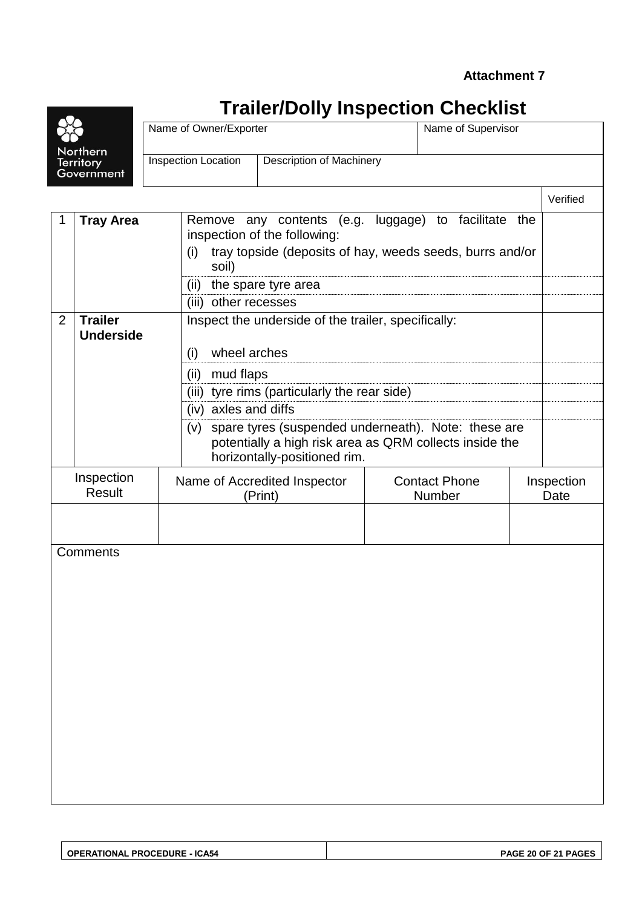### **Trailer/Dolly Inspection Checklist**

|                                | Na  |
|--------------------------------|-----|
| Northern                       |     |
| <b>Territory</b><br>Government | Ins |
|                                |     |

| Name of Owner/Exporter     |                                 | Name of Supervisor |           |  |  |  |
|----------------------------|---------------------------------|--------------------|-----------|--|--|--|
| <b>Inspection Location</b> | <b>Description of Machinery</b> |                    |           |  |  |  |
|                            |                                 |                    | \/arifiad |  |  |  |

|   |                                                                                                          |                                                                                                                                                       |                                | venneu             |  |  |  |  |
|---|----------------------------------------------------------------------------------------------------------|-------------------------------------------------------------------------------------------------------------------------------------------------------|--------------------------------|--------------------|--|--|--|--|
| 1 | Remove any contents (e.g. luggage) to facilitate the<br><b>Tray Area</b><br>inspection of the following: |                                                                                                                                                       |                                |                    |  |  |  |  |
|   |                                                                                                          | tray topside (deposits of hay, weeds seeds, burrs and/or<br>(i)<br>soil)                                                                              |                                |                    |  |  |  |  |
|   |                                                                                                          | (ii)<br>the spare tyre area                                                                                                                           |                                |                    |  |  |  |  |
|   |                                                                                                          | (iii) other recesses                                                                                                                                  |                                |                    |  |  |  |  |
| 2 | <b>Trailer</b><br>Inspect the underside of the trailer, specifically:<br><b>Underside</b>                |                                                                                                                                                       |                                |                    |  |  |  |  |
|   |                                                                                                          | wheel arches<br>(i)                                                                                                                                   |                                |                    |  |  |  |  |
|   |                                                                                                          | mud flaps<br>(ii)                                                                                                                                     |                                |                    |  |  |  |  |
|   | (iii) tyre rims (particularly the rear side)                                                             |                                                                                                                                                       |                                |                    |  |  |  |  |
|   |                                                                                                          | (iv) axles and diffs                                                                                                                                  |                                |                    |  |  |  |  |
|   |                                                                                                          | spare tyres (suspended underneath). Note: these are<br>(v)<br>potentially a high risk area as QRM collects inside the<br>horizontally-positioned rim. |                                |                    |  |  |  |  |
|   | Inspection<br><b>Result</b>                                                                              | Name of Accredited Inspector<br>(Print)                                                                                                               | <b>Contact Phone</b><br>Number | Inspection<br>Date |  |  |  |  |
|   |                                                                                                          |                                                                                                                                                       |                                |                    |  |  |  |  |
|   |                                                                                                          |                                                                                                                                                       |                                |                    |  |  |  |  |
|   | Comments                                                                                                 |                                                                                                                                                       |                                |                    |  |  |  |  |
|   |                                                                                                          |                                                                                                                                                       |                                |                    |  |  |  |  |
|   |                                                                                                          |                                                                                                                                                       |                                |                    |  |  |  |  |
|   |                                                                                                          |                                                                                                                                                       |                                |                    |  |  |  |  |